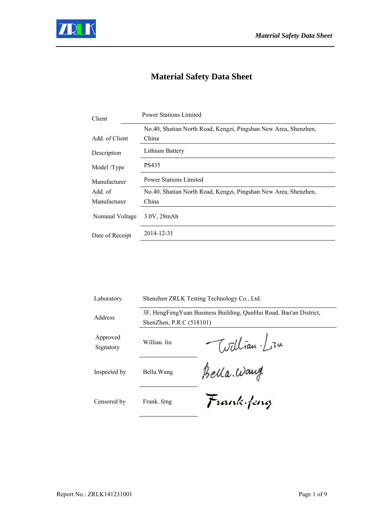

# **Material Safety Data Sheet**

| Client                                        | <b>Power Stations Limited</b>                                   |  |  |
|-----------------------------------------------|-----------------------------------------------------------------|--|--|
|                                               | No.40, Shatian North Road, Kengzi, Pingshan New Area, Shenzhen, |  |  |
| Add. of Client                                | China                                                           |  |  |
| Description                                   | Lithium Battery                                                 |  |  |
| Model /Type                                   | PS435                                                           |  |  |
| <b>Power Stations Limited</b><br>Manufacturer |                                                                 |  |  |
| Add. of                                       | No.40, Shatian North Road, Kengzi, Pingshan New Area, Shenzhen, |  |  |
| Manufacturer                                  | China                                                           |  |  |
| Nominal Voltage                               | 3.0V, 28mAh                                                     |  |  |
| Date of Receipt                               | 2014-12-31                                                      |  |  |

| Laboratory            | Shenzhen ZRLK Testing Technology Co., Ltd.                                                    |              |
|-----------------------|-----------------------------------------------------------------------------------------------|--------------|
| Address               | 3F, HengFengYuan Business Building, QunHui Road, Bao'an District,<br>ShenZhen, P.R.C (518101) |              |
| Approved<br>Signatory | Williau. liu                                                                                  | William. Lin |
| Inspected by          | Bella. Wang                                                                                   | Bella. Wang  |
| Censored by           | Frank. feng                                                                                   | Frank feng   |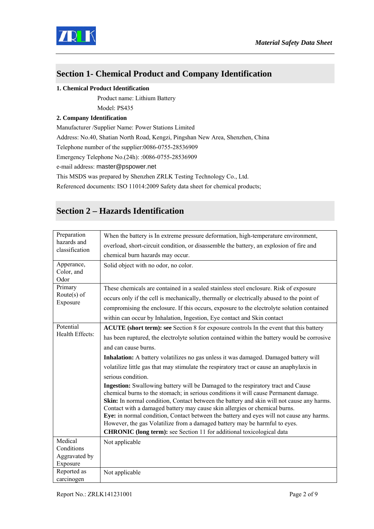

## **Section 1- Chemical Product and Company Identification**

#### **1. Chemical Product Identification**

Product name: Lithium Battery

Model: PS435

#### **2. Company Identification**

Manufacturer /Supplier Name: Power Stations Limited Address: No.40, Shatian North Road, Kengzi, Pingshan New Area, Shenzhen, China Telephone number of the supplier:0086-0755-28536909 Emergency Telephone No.(24h): :0086-0755-28536909 e-mail address: master@pspower.net This MSDS was prepared by Shenzhen ZRLK Testing Technology Co., Ltd.

Referenced documents: ISO 11014:2009 Safety data sheet for chemical products;

## **Section 2 – Hazards Identification**

| Preparation                      | When the battery is In extreme pressure deformation, high-temperature environment,                                                                                                                                                                                                                                                                                                                                                                                                                                                                                                                                   |  |  |
|----------------------------------|----------------------------------------------------------------------------------------------------------------------------------------------------------------------------------------------------------------------------------------------------------------------------------------------------------------------------------------------------------------------------------------------------------------------------------------------------------------------------------------------------------------------------------------------------------------------------------------------------------------------|--|--|
| hazards and<br>classification    | overload, short-circuit condition, or disassemble the battery, an explosion of fire and                                                                                                                                                                                                                                                                                                                                                                                                                                                                                                                              |  |  |
|                                  | chemical burn hazards may occur.                                                                                                                                                                                                                                                                                                                                                                                                                                                                                                                                                                                     |  |  |
| Apperance,<br>Color, and<br>Odor | Solid object with no odor, no color.                                                                                                                                                                                                                                                                                                                                                                                                                                                                                                                                                                                 |  |  |
| Primary                          | These chemicals are contained in a sealed stainless steel enclosure. Risk of exposure                                                                                                                                                                                                                                                                                                                                                                                                                                                                                                                                |  |  |
| Route $(s)$ of                   | occurs only if the cell is mechanically, thermally or electrically abused to the point of                                                                                                                                                                                                                                                                                                                                                                                                                                                                                                                            |  |  |
| Exposure                         | compromising the enclosure. If this occurs, exposure to the electrolyte solution contained                                                                                                                                                                                                                                                                                                                                                                                                                                                                                                                           |  |  |
|                                  | within can occur by Inhalation, Ingestion, Eye contact and Skin contact                                                                                                                                                                                                                                                                                                                                                                                                                                                                                                                                              |  |  |
| Potential                        | <b>ACUTE</b> (short term): see Section 8 for exposure controls In the event that this battery                                                                                                                                                                                                                                                                                                                                                                                                                                                                                                                        |  |  |
| Health Effects:                  | has been ruptured, the electrolyte solution contained within the battery would be corrosive                                                                                                                                                                                                                                                                                                                                                                                                                                                                                                                          |  |  |
|                                  | and can cause burns.                                                                                                                                                                                                                                                                                                                                                                                                                                                                                                                                                                                                 |  |  |
|                                  | <b>Inhalation:</b> A battery volatilizes no gas unless it was damaged. Damaged battery will                                                                                                                                                                                                                                                                                                                                                                                                                                                                                                                          |  |  |
|                                  | volatilize little gas that may stimulate the respiratory tract or cause an anaphylaxis in                                                                                                                                                                                                                                                                                                                                                                                                                                                                                                                            |  |  |
|                                  | serious condition.                                                                                                                                                                                                                                                                                                                                                                                                                                                                                                                                                                                                   |  |  |
|                                  | <b>Ingestion:</b> Swallowing battery will be Damaged to the respiratory tract and Cause<br>chemical burns to the stomach; in serious conditions it will cause Permanent damage.<br>Skin: In normal condition, Contact between the battery and skin will not cause any harms.<br>Contact with a damaged battery may cause skin allergies or chemical burns.<br>Eye: in normal condition, Contact between the battery and eyes will not cause any harms.<br>However, the gas Volatilize from a damaged battery may be harmful to eyes.<br><b>CHRONIC</b> (long term): see Section 11 for additional toxicological data |  |  |
| Medical                          | Not applicable                                                                                                                                                                                                                                                                                                                                                                                                                                                                                                                                                                                                       |  |  |
| Conditions                       |                                                                                                                                                                                                                                                                                                                                                                                                                                                                                                                                                                                                                      |  |  |
| Aggravated by                    |                                                                                                                                                                                                                                                                                                                                                                                                                                                                                                                                                                                                                      |  |  |
| Exposure                         |                                                                                                                                                                                                                                                                                                                                                                                                                                                                                                                                                                                                                      |  |  |
| Reported as<br>carcinogen        | Not applicable                                                                                                                                                                                                                                                                                                                                                                                                                                                                                                                                                                                                       |  |  |
|                                  |                                                                                                                                                                                                                                                                                                                                                                                                                                                                                                                                                                                                                      |  |  |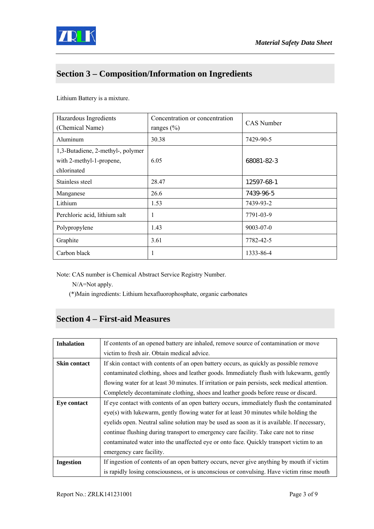

## **Section 3 – Composition/Information on Ingredients**

Lithium Battery is a mixture.

| Hazardous Ingredients<br>(Chemical Name)                                     | Concentration or concentration<br>ranges $(\% )$ | <b>CAS</b> Number |
|------------------------------------------------------------------------------|--------------------------------------------------|-------------------|
| Aluminum                                                                     | 30.38                                            | 7429-90-5         |
| 1,3-Butadiene, 2-methyl-, polymer<br>with 2-methyl-1-propene,<br>chlorinated | 6.05                                             | 68081-82-3        |
| Stainless steel                                                              | 28.47                                            | 12597-68-1        |
| Manganese                                                                    | 26.6                                             | 7439-96-5         |
| Lithium                                                                      | 1.53                                             | 7439-93-2         |
| Perchloric acid, lithium salt                                                | 1                                                | 7791-03-9         |
| Polypropylene                                                                | 1.43                                             | $9003 - 07 - 0$   |
| Graphite                                                                     | 3.61                                             | 7782-42-5         |
| Carbon black                                                                 | 1                                                | 1333-86-4         |

Note: CAS number is Chemical Abstract Service Registry Number.

N/A=Not apply.

(\*)Main ingredients: Lithium hexafluorophosphate, organic carbonates

# **Section 4 – First-aid Measures**

| <b>Inhalation</b>   | If contents of an opened battery are inhaled, remove source of contamination or move           |  |  |
|---------------------|------------------------------------------------------------------------------------------------|--|--|
|                     | victim to fresh air. Obtain medical advice.                                                    |  |  |
| <b>Skin contact</b> | If skin contact with contents of an open battery occurs, as quickly as possible remove         |  |  |
|                     | contaminated clothing, shoes and leather goods. Immediately flush with lukewarm, gently        |  |  |
|                     | flowing water for at least 30 minutes. If irritation or pain persists, seek medical attention. |  |  |
|                     | Completely decontaminate clothing, shoes and leather goods before reuse or discard.            |  |  |
| <b>Eye contact</b>  | If eye contact with contents of an open battery occurs, immediately flush the contaminated     |  |  |
|                     | eye(s) with lukewarm, gently flowing water for at least 30 minutes while holding the           |  |  |
|                     | eyelids open. Neutral saline solution may be used as soon as it is available. If necessary,    |  |  |
|                     | continue flushing during transport to emergency care facility. Take care not to rinse          |  |  |
|                     | contaminated water into the unaffected eye or onto face. Quickly transport victim to an        |  |  |
|                     | emergency care facility.                                                                       |  |  |
| <b>Ingestion</b>    | If ingestion of contents of an open battery occurs, never give anything by mouth if victim     |  |  |
|                     | is rapidly losing consciousness, or is unconscious or convulsing. Have victim rinse mouth      |  |  |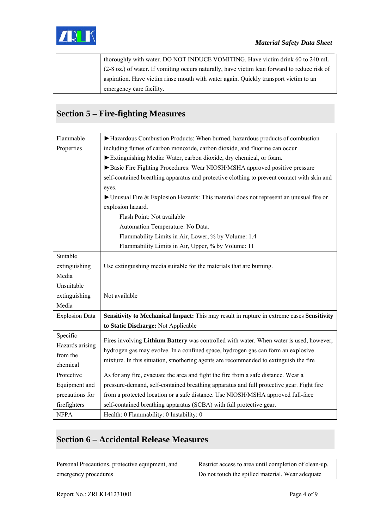

| thoroughly with water. DO NOT INDUCE VOMITING. Have victim drink 60 to 240 mL                |
|----------------------------------------------------------------------------------------------|
| (2-8 oz.) of water. If vomiting occurs naturally, have victim lean forward to reduce risk of |
| aspiration. Have victim rinse mouth with water again. Quickly transport victim to an         |
| emergency care facility.                                                                     |

# **Section 5 – Fire-fighting Measures**

| Flammable                                          | Hazardous Combustion Products: When burned, hazardous products of combustion                |  |  |
|----------------------------------------------------|---------------------------------------------------------------------------------------------|--|--|
| Properties                                         | including fumes of carbon monoxide, carbon dioxide, and fluorine can occur                  |  |  |
|                                                    | Extinguishing Media: Water, carbon dioxide, dry chemical, or foam.                          |  |  |
|                                                    | Basic Fire Fighting Procedures: Wear NIOSH/MSHA approved positive pressure                  |  |  |
|                                                    | self-contained breathing apparatus and protective clothing to prevent contact with skin and |  |  |
|                                                    | eyes.                                                                                       |  |  |
|                                                    | ▶ Unusual Fire & Explosion Hazards: This material does not represent an unusual fire or     |  |  |
|                                                    | explosion hazard.                                                                           |  |  |
|                                                    | Flash Point: Not available                                                                  |  |  |
|                                                    | Automation Temperature: No Data.                                                            |  |  |
|                                                    | Flammability Limits in Air, Lower, % by Volume: 1.4                                         |  |  |
| Flammability Limits in Air, Upper, % by Volume: 11 |                                                                                             |  |  |
| Suitable                                           |                                                                                             |  |  |
| extinguishing                                      | Use extinguishing media suitable for the materials that are burning.                        |  |  |
| Media                                              |                                                                                             |  |  |
| Unsuitable                                         |                                                                                             |  |  |
| extinguishing                                      | Not available                                                                               |  |  |
| Media                                              |                                                                                             |  |  |
| <b>Explosion Data</b>                              | Sensitivity to Mechanical Impact: This may result in rupture in extreme cases Sensitivity   |  |  |
|                                                    | to Static Discharge: Not Applicable                                                         |  |  |
| Specific                                           |                                                                                             |  |  |
| Hazards arising                                    | Fires involving Lithium Battery was controlled with water. When water is used, however,     |  |  |
| from the                                           | hydrogen gas may evolve. In a confined space, hydrogen gas can form an explosive            |  |  |
| chemical                                           | mixture. In this situation, smothering agents are recommended to extinguish the fire        |  |  |
| Protective                                         | As for any fire, evacuate the area and fight the fire from a safe distance. Wear a          |  |  |
| Equipment and                                      | pressure-demand, self-contained breathing apparatus and full protective gear. Fight fire    |  |  |
| precautions for                                    | from a protected location or a safe distance. Use NIOSH/MSHA approved full-face             |  |  |
| firefighters                                       | self-contained breathing apparatus (SCBA) with full protective gear.                        |  |  |
| <b>NFPA</b>                                        | Health: 0 Flammability: 0 Instability: 0                                                    |  |  |

# **Section 6 – Accidental Release Measures**

| Personal Precautions, protective equipment, and | Restrict access to area until completion of clean-up. |
|-------------------------------------------------|-------------------------------------------------------|
| emergency procedures                            | Do not touch the spilled material. Wear adequate      |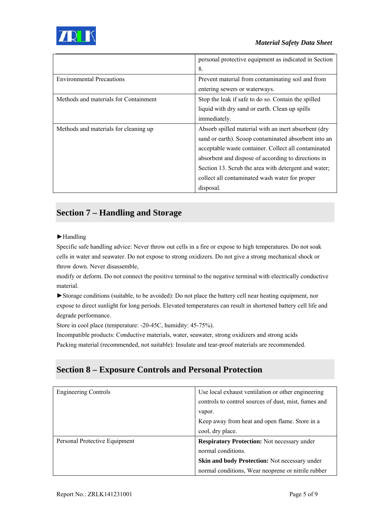

|                                       | personal protective equipment as indicated in Section |
|---------------------------------------|-------------------------------------------------------|
|                                       | 8.                                                    |
| <b>Environmental Precautions</b>      | Prevent material from contaminating soil and from     |
|                                       | entering sewers or waterways.                         |
| Methods and materials for Containment | Stop the leak if safe to do so. Contain the spilled   |
|                                       | liquid with dry sand or earth. Clean up spills        |
|                                       | immediately.                                          |
| Methods and materials for cleaning up | Absorb spilled material with an inert absorbent (dry  |
|                                       | sand or earth). Scoop contaminated absorbent into an  |
|                                       | acceptable waste container. Collect all contaminated  |
|                                       | absorbent and dispose of according to directions in   |
|                                       | Section 13. Scrub the area with detergent and water;  |
|                                       | collect all contaminated wash water for proper        |
|                                       | disposal.                                             |

## **Section 7 – Handling and Storage**

#### ►Handling

Specific safe handling advice: Never throw out cells in a fire or expose to high temperatures. Do not soak cells in water and seawater. Do not expose to strong oxidizers. Do not give a strong mechanical shock or throw down. Never disassemble,

modify or deform. Do not connect the positive terminal to the negative terminal with electrically conductive material.

►Storage conditions (suitable, to be avoided): Do not place the battery cell near heating equipment, nor expose to direct sunlight for long periods. Elevated temperatures can result in shortened battery cell life and degrade performance.

Store in cool place (temperature: -20-45C, humidity: 45-75%).

Incompatible products: Conductive materials, water, seawater, strong oxidizers and strong acids Packing material (recommended, not suitable): Insulate and tear-proof materials are recommended.

### **Section 8 – Exposure Controls and Personal Protection**

| <b>Engineering Controls</b>   | Use local exhaust ventilation or other engineering   |
|-------------------------------|------------------------------------------------------|
|                               | controls to control sources of dust, mist, fumes and |
|                               | vapor.                                               |
|                               | Keep away from heat and open flame. Store in a       |
|                               | cool, dry place.                                     |
| Personal Protective Equipment | <b>Respiratory Protection:</b> Not necessary under   |
|                               | normal conditions.                                   |
|                               | Skin and body Protection: Not necessary under        |
|                               | normal conditions, Wear neoprene or nitrile rubber   |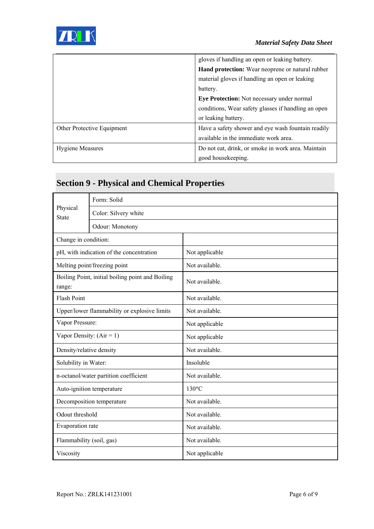

|                            | gloves if handling an open or leaking battery.      |
|----------------------------|-----------------------------------------------------|
|                            | Hand protection: Wear neoprene or natural rubber    |
|                            | material gloves if handling an open or leaking      |
|                            | battery.                                            |
|                            | Eye Protection: Not necessary under normal          |
|                            | conditions, Wear safety glasses if handling an open |
|                            | or leaking battery.                                 |
| Other Protective Equipment | Have a safety shower and eye wash fountain readily  |
|                            | available in the immediate work area.               |
| <b>Hygiene Measures</b>    | Do not eat, drink, or smoke in work area. Maintain  |
|                            | good housekeeping.                                  |

# **Section 9 - Physical and Chemical Properties**

| Physical<br><b>State</b>                                   | Form: Solid                  |                 |  |
|------------------------------------------------------------|------------------------------|-----------------|--|
|                                                            | Color: Silvery white         |                 |  |
|                                                            | Odour: Monotony              |                 |  |
| Change in condition:                                       |                              |                 |  |
| pH, with indication of the concentration                   |                              | Not applicable  |  |
|                                                            | Melting point/freezing point | Not available.  |  |
| Boiling Point, initial boiling point and Boiling<br>range: |                              | Not available.  |  |
| <b>Flash Point</b>                                         |                              | Not available.  |  |
| Upper/lower flammability or explosive limits               |                              | Not available.  |  |
| Vapor Pressure:                                            |                              | Not applicable  |  |
| Vapor Density: $(Air = 1)$                                 |                              | Not applicable  |  |
| Density/relative density                                   |                              | Not available.  |  |
| Solubility in Water:                                       |                              | Insoluble       |  |
| n-octanol/water partition coefficient                      |                              | Not available.  |  |
| Auto-ignition temperature                                  |                              | $130^{\circ}$ C |  |
| Decomposition temperature                                  |                              | Not available.  |  |
| Odout threshold                                            |                              | Not available.  |  |
| Evaporation rate                                           |                              | Not available.  |  |
| Flammability (soil, gas)                                   |                              | Not available.  |  |
| Viscosity                                                  |                              | Not applicable  |  |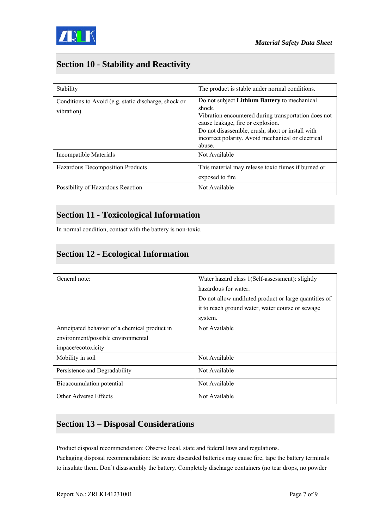

## **Section 10 - Stability and Reactivity**

| Stability                                                          | The product is stable under normal conditions.                                                                                                                                                                                                                          |
|--------------------------------------------------------------------|-------------------------------------------------------------------------------------------------------------------------------------------------------------------------------------------------------------------------------------------------------------------------|
| Conditions to Avoid (e.g. static discharge, shock or<br>vibration) | Do not subject Lithium Battery to mechanical<br>shock.<br>Vibration encountered during transportation does not<br>cause leakage, fire or explosion.<br>Do not disassemble, crush, short or install with<br>incorrect polarity. Avoid mechanical or electrical<br>abuse. |
| Incompatible Materials                                             | Not Available                                                                                                                                                                                                                                                           |
| Hazardous Decomposition Products                                   | This material may release toxic fumes if burned or<br>exposed to fire                                                                                                                                                                                                   |
| Possibility of Hazardous Reaction                                  | Not Available                                                                                                                                                                                                                                                           |

### **Section 11 - Toxicological Information**

In normal condition, contact with the battery is non-toxic.

### **Section 12 - Ecological Information**

| General note:                                 | Water hazard class 1(Self-assessment): slightly       |
|-----------------------------------------------|-------------------------------------------------------|
|                                               | hazardous for water.                                  |
|                                               | Do not allow undiluted product or large quantities of |
|                                               | it to reach ground water, water course or sewage      |
|                                               | system.                                               |
| Anticipated behavior of a chemical product in | Not Available                                         |
| environment/possible environmental            |                                                       |
| impace/ecotoxicity                            |                                                       |
| Mobility in soil                              | Not Available                                         |
| Persistence and Degradability                 | Not Available                                         |
| Bioaccumulation potential                     | Not Available                                         |
| Other Adverse Effects                         | Not Available                                         |

### **Section 13 – Disposal Considerations**

Product disposal recommendation: Observe local, state and federal laws and regulations. Packaging disposal recommendation: Be aware discarded batteries may cause fire, tape the battery terminals to insulate them. Don't disassembly the battery. Completely discharge containers (no tear drops, no powder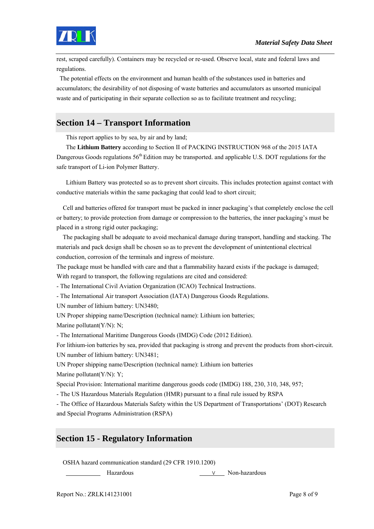

rest, scraped carefully). Containers may be recycled or re-used. Observe local, state and federal laws and regulations.

 The potential effects on the environment and human health of the substances used in batteries and accumulators; the desirability of not disposing of waste batteries and accumulators as unsorted municipal waste and of participating in their separate collection so as to facilitate treatment and recycling;

## **Section 14 – Transport Information**

This report applies to by sea, by air and by land;

The **Lithium Battery** according to Section II of PACKING INSTRUCTION 968 of the 2015 IATA Dangerous Goods regulations 56<sup>th</sup> Edition may be transported. and applicable U.S. DOT regulations for the safe transport of Li-ion Polymer Battery.

Lithium Battery was protected so as to prevent short circuits. This includes protection against contact with conductive materials within the same packaging that could lead to short circuit;

 Cell and batteries offered for transport must be packed in inner packaging's that completely enclose the cell or battery; to provide protection from damage or compression to the batteries, the inner packaging's must be placed in a strong rigid outer packaging;

 The packaging shall be adequate to avoid mechanical damage during transport, handling and stacking. The materials and pack design shall be chosen so as to prevent the development of unintentional electrical conduction, corrosion of the terminals and ingress of moisture.

The package must be handled with care and that a flammability hazard exists if the package is damaged; With regard to transport, the following regulations are cited and considered:

- The International Civil Aviation Organization (ICAO) Technical Instructions.

- The International Air transport Association (IATA) Dangerous Goods Regulations.

UN number of lithium battery: UN3480;

UN Proper shipping name/Description (technical name): Lithium ion batteries; Marine pollutant( $Y/N$ ): N;

- The International Maritime Dangerous Goods (IMDG) Code (2012 Edition).

For lithium-ion batteries by sea, provided that packaging is strong and prevent the products from short-circuit. UN number of lithium battery: UN3481;

UN Proper shipping name/Description (technical name): Lithium ion batteries Marine pollutant(Y/N): Y;

Special Provision: International maritime dangerous goods code (IMDG) 188, 230, 310, 348, 957;

- The US Hazardous Materials Regulation (HMR) pursuant to a final rule issued by RSPA

- The Office of Hazardous Materials Safety within the US Department of Transportations' (DOT) Research and Special Programs Administration (RSPA)

### **Section 15 - Regulatory Information**

OSHA hazard communication standard (29 CFR 1910.1200)

Hazardous ∨ Non-hazardous